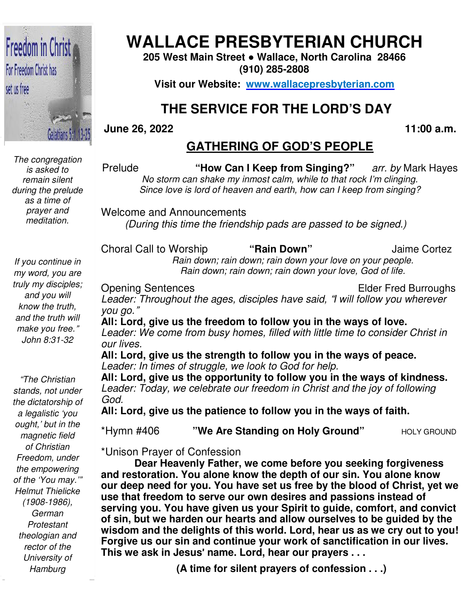

*The congregation is asked to remain silent during the prelude as a time of prayer and meditation.* 

*If you continue in my word, you are truly my disciples; and you will know the truth, and the truth will make you free.*" *John 8:31-32* 

 *Protestant "The Christian stands, not under the dictatorship of a legalistic 'you ought,' but in the magnetic field of Christian Freedom, under the empowering of the 'You may.'" Helmut Thielicke (1908-1986), German theologian and rector of the University of Hamburg* 

## **WALLACE PRESBYTERIAN CHURCH**

**205 West Main Street Street ● Wallace, North Carolina 28466 (910) 285-2808** 

**Visit our Website: www.wallacepresbyterian.com**

# **THE SERVICE FOR THE LORD'S DAY** **THE SERVICE**

#### **June 26, 2022**

 **11:00 a.m.**

#### **GATHERING OF GOD'S PEOPLE**

Prelude **"How Can I Keep from Singing?** *No storm can shake my inmost calm, while to that rock I'm clinging. Since love is lord of heaven and earth, how can I keep from singing singing?* **Singing?**" arr. by Mark Hayes

Welcome and Announcements Announcements *(During this time the friendship pads are passed to be signed.) the friendship* 

Choral Call to Worship  *Rain down; rain down; rain down your love on your people. Rain down; down; rain down; rain down your love, God of life.* **"Rain Down"** Jaime Cortez

Opening Sentences Leader: Throughout the ages, disciples have said, "I will follow you wherever *you go.*" Elder Fred Burroughs Burroughs

**All: Lord, give us the freedom to follow you in the ways of love. freedom** Leader: Throughout the ages, disciples have said, "I will follow you wherever<br>you go."<br>**All: Lord, give us the freedom to follow you in the ways of love.**<br>Leader: We come from busy homes, filled with little time to conside *our lives.*

**All: Lord, give us the strength to follow you in the ways of peace.** *Leader: In times of struggle, we look to God for help. homes, filled with*<br>**gth to follow you**<br>we look to God for

**All: Lord, give us the opportunity to follow you in the ways of kindness.** *Leader: Today, we celebrate our freedom in Christ and the joy of following God.* 

**All: Lord, give us the patience to follow you in the ways of faith.**

**\*Hymn #406 <b>"We Are Standing on Holy Ground"** HOLY GROUND

\*Unison Prayer of Confession

**Dear Heavenly Father, we come before you seeking forgiveness and restoration. You alone know the depth of our sin. You alone know our deep need for you. You have set us free by the blood of Christ, yet we use that freedom to serve our own desires and passions instead of serving you. You have given us your Spirit to guide, comfort, and convict**  and restoration. You alone know the depth of our sin. You alone know<br>our deep need for you. You have set us free by the blood of Christ, yet we<br>use that freedom to serve our own desires and passions instead of<br>serving you. **wisdom and the delights of this world. Lord, hear us as we cry out to you! Forgive us our sin and continue your work of sanctification in our lives. This we ask in Jesus**' **name. Lord, hear our prayers . . .** our sin and continue your work of sanctificatior<br>in Jesus' name. Lord, hear our prayers . . .<br>(A time for silent prayers of confession . . .) **Heavenly Father, we come before you seeking forgivenes** coration. You alone know the depth of our sin. You alone know o need for you. You have set us free by the blood of Christ, ye freedom to serve our own desires and pa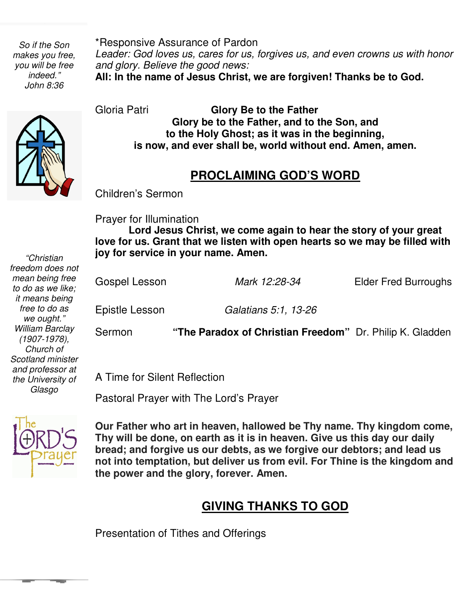*So if the Son makes you free, you will be free indeed." John 8:36* 

*"Christian freedom does not* 

\*Responsive Assurance of Pardon Leader: God loves us, cares for us, forgives us, and even crowns us with honor *and glory. Believe the good news:* **All: In the name of Jesus Christ, we are forgiven! Thanks be to God.**

Gloria Patri **Glory Be to the Father Glory be to the Father, and to the Son, and to the Holy Ghost; as it was in the beginning, is now, and ever shall be, world without end. Amen, amen.** 

#### **PROCLAIMING GOD'S WORD**

Children's Sermon

Prayer for Illumination

 **love for us. Grant that we listen with open hearts so we may be filled with joy for service in your name. Amen. Lord Jesus Christ, we come again to hear the story of your great** 

| mean being free<br>to do as we like;<br>it means being         | Gospel Lesson  | Mark 12:28-34                                            | <b>Elder Fred Burroughs</b> |
|----------------------------------------------------------------|----------------|----------------------------------------------------------|-----------------------------|
| free to do as<br>we ought."                                    | Epistle Lesson | Galatians 5:1, 13-26                                     |                             |
| William Barclay<br>$(1907 - 1978)$ ,<br>Church of              | Sermon         | "The Paradox of Christian Freedom" Dr. Philip K. Gladden |                             |
| Scotland minister<br>$\sim$ $\sim$ $\sim$ $\sim$ $\sim$ $\sim$ |                |                                                          |                             |

A Time for Silent Reflection

Pastoral Prayer with The Lord's Prayer



*and professor at the University of Glasgo* 

> **not into temptation, but deliver us from evil. For Thine is the kingdom and Our Father who art in heaven, hallowed be Thy name. Thy kingdom come, Thy will be done, on earth as it is in heaven. Give us this day our daily bread; and forgive us our debts, as we forgive our debtors; and lead us the power and the glory, forever. Amen.**

### **GIVING THANKS TO GOD**

Presentation of Tithes and Offerings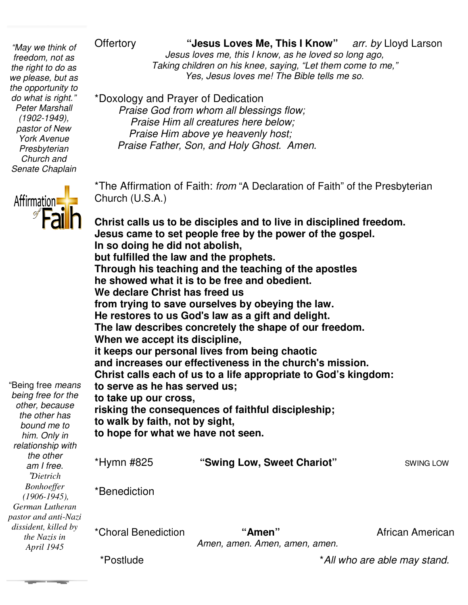*the opportunity to "May we think of freedom, not as the right to do as we please, but as do what is right." Peter Marshall (1902-1949), pastor of New York Avenue Presbyterian Church and Senate Chaplain* 



*"Dietrich* 

Offertory **"Jesus Loves Me, This I Know** *Jesus loves me, this I know, as he loved so long ago,* Taking children on his knee, saying, "Let them come to me," *Yes, Jesus loves me! The Bible tells me so. of* Offertory  *CHERRY STRADER STRADER STRADER SURPERTY OF A SURPERTY CHARGES SURPERTY Arr. by Lloyd Larso***<br>***Jesus loves me, this I know, as he loved so long ago,***<br>***Taking children on his knee, saying, "Let them come to* arr. by Lloyd Larson

\*Doxology and Prayer of Dedication

 *Praise God from whom all blessings flow; Praise Him all creatures here below; Praise Him above ye heavenly host; all creatures ye heavenly host; Praise Father, Son, and Holy Ghost. Amen.* 

\*The Affirmation of Faith: *from* "A Declaration of Faith" of the Presbyterian Church (U.S.A.)

Christ calls us to be disciples and to live in disciplined freedom. **Jesus came to set people free to free by the power of the gospel. In so doing he did not abolish, but fulfilled the law and the prophets. Through his teaching and the teaching of the apostles he showed what it is to be free and obedient. We declare Christ has freed us from trying to save ourselves by obeying the He restores to us God's law as a gift and delight. The law describes concretely the shape of our freedom. When we accept its discipline, it keeps our personal lives from being chaotic and increases our effectiveness in the church's mission. Christ calls each of us to a life appropriate to God's kingdom: to serve as he has served us; to take up our cross, risking the consequences of faithful discipleship; to walk by faith, not by sight, to hope for what we have not seen.** \*Hymn #825 **"Swing Low, Sweet Chariot** \*Benediction \*Choral Benediction *Amen, amen. Amen, amen, amen.* "Being free *means being free for the other, because the other has bound me to him. Only in relationship with the other am I free. Bonhoeffer (1906-1945), German Lutheran pastor and anti-Nazi dissident, killed by the Nazis in April 1945* but fulfilled the law and the prophets.<br>Through his teaching and the teaching of the apos<br>he showed what it is to be free and obedient.<br>We declare Christ has freed us<br>from trying to save ourselves by obeying the law. **He restores to us God's law as a gift and delight.**<br>The law describes concretely the shape of our freedom.<br>When we accept its discipline,<br>it keeps our personal lives from being chaotic<br>and increases our effectiveness in t **"Amen"** African American of the Presbyterian<br>**ed freedom.**<br>**ospel.**<br>**es**<br>**om.**<br>**kingdom:**<br>swing Low<br>Swing Low

\*Postlude

\**All who are able may stand. who are able stand.*